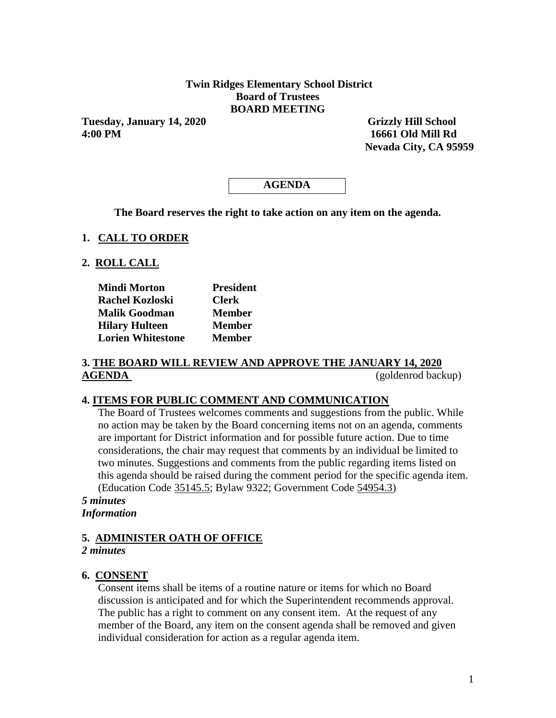## **Twin Ridges Elementary School District Board of Trustees BOARD MEETING**

**Tuesday, January 14, 2020 Grizzly Hill School 4:00 PM 16661 Old Mill Rd**

 **Nevada City, CA 95959** 

# **AGENDA**

**The Board reserves the right to take action on any item on the agenda.**

### **1. CALL TO ORDER**

### **2. ROLL CALL**

| <b>Mindi Morton</b>      | <b>President</b> |
|--------------------------|------------------|
| <b>Rachel Kozloski</b>   | <b>Clerk</b>     |
| <b>Malik Goodman</b>     | <b>Member</b>    |
| <b>Hilary Hulteen</b>    | <b>Member</b>    |
| <b>Lorien Whitestone</b> | <b>Member</b>    |

## **3. THE BOARD WILL REVIEW AND APPROVE THE JANUARY 14, 2020 AGENDA** (goldenrod backup)

### **4. ITEMS FOR PUBLIC COMMENT AND COMMUNICATION**

The Board of Trustees welcomes comments and suggestions from the public. While no action may be taken by the Board concerning items not on an agenda, comments are important for District information and for possible future action. Due to time considerations, the chair may request that comments by an individual be limited to two minutes. Suggestions and comments from the public regarding items listed on this agenda should be raised during the comment period for the specific agenda item. (Education Code 35145.5; Bylaw 9322; Government Code 54954.3)

### *5 minutes Information*

# **5. ADMINISTER OATH OF OFFICE**

### *2 minutes*

### **6. CONSENT**

Consent items shall be items of a routine nature or items for which no Board discussion is anticipated and for which the Superintendent recommends approval. The public has a right to comment on any consent item. At the request of any member of the Board, any item on the consent agenda shall be removed and given individual consideration for action as a regular agenda item.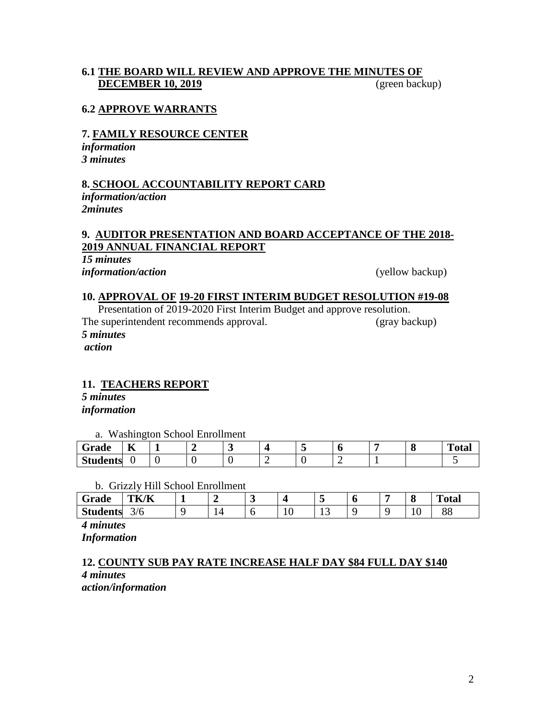## **6.1 THE BOARD WILL REVIEW AND APPROVE THE MINUTES OF DECEMBER 10, 2019** (green backup)

### **6.2 APPROVE WARRANTS**

# **7. FAMILY RESOURCE CENTER**

*information 3 minutes*

### **8. SCHOOL ACCOUNTABILITY REPORT CARD**

*information/action 2minutes*

### **9. AUDITOR PRESENTATION AND BOARD ACCEPTANCE OF THE 2018- 2019 ANNUAL FINANCIAL REPORT**

*15 minutes information/action* (yellow backup)

### **10. APPROVAL OF 19-20 FIRST INTERIM BUDGET RESOLUTION #19-08**

Presentation of 2019-2020 First Interim Budget and approve resolution. The superintendent recommends approval. (gray backup) *5 minutes action*

### **11. TEACHERS REPORT**

*5 minutes information*

a. Washington School Enrollment

| Grade           | --<br>л |  |  |  |  | <b>TITLE</b><br>' otar |
|-----------------|---------|--|--|--|--|------------------------|
| <b>Students</b> | ື       |  |  |  |  |                        |

#### b. Grizzly Hill School Enrollment

| Grade           | <b>TK/K</b> |     | ັ |     |    |  | $\mathbf o$ | $\mathbf{r}$<br>`otal |
|-----------------|-------------|-----|---|-----|----|--|-------------|-----------------------|
| <b>Students</b> | 3/6         | . . | ╰ | 1 V | ⊥ັ |  | 1 V         | $\overline{O}$<br>oo  |

*4 minutes*

*Information*

# **12. COUNTY SUB PAY RATE INCREASE HALF DAY \$84 FULL DAY \$140** *4 minutes*

*action/information*